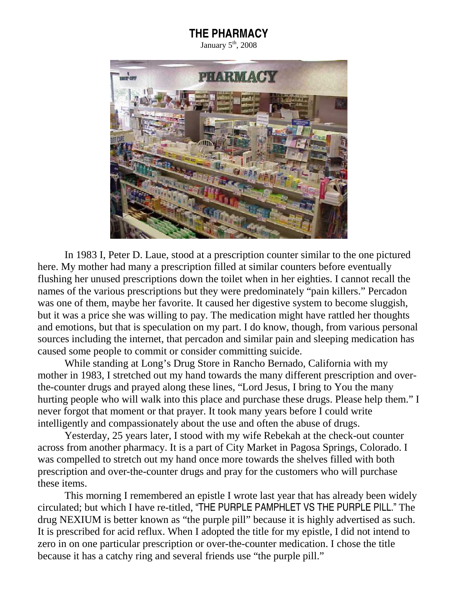## THE PHARMACY

January  $5<sup>th</sup>$ , 2008



In 1983 I, Peter D. Laue, stood at a prescription counter similar to the one pictured here. My mother had many a prescription filled at similar counters before eventually flushing her unused prescriptions down the toilet when in her eighties. I cannot recall the names of the various prescriptions but they were predominately "pain killers." Percadon was one of them, maybe her favorite. It caused her digestive system to become sluggish, but it was a price she was willing to pay. The medication might have rattled her thoughts and emotions, but that is speculation on my part. I do know, though, from various personal sources including the internet, that percadon and similar pain and sleeping medication has caused some people to commit or consider committing suicide.

 While standing at Long's Drug Store in Rancho Bernado, California with my mother in 1983, I stretched out my hand towards the many different prescription and overthe-counter drugs and prayed along these lines, "Lord Jesus, I bring to You the many hurting people who will walk into this place and purchase these drugs. Please help them." I never forgot that moment or that prayer. It took many years before I could write intelligently and compassionately about the use and often the abuse of drugs.

 Yesterday, 25 years later, I stood with my wife Rebekah at the check-out counter across from another pharmacy. It is a part of City Market in Pagosa Springs, Colorado. I was compelled to stretch out my hand once more towards the shelves filled with both prescription and over-the-counter drugs and pray for the customers who will purchase these items.

 This morning I remembered an epistle I wrote last year that has already been widely circulated; but which I have re-titled, "THE PURPLE PAMPHLET VS THE PURPLE PILL." The drug NEXIUM is better known as "the purple pill" because it is highly advertised as such. It is prescribed for acid reflux. When I adopted the title for my epistle, I did not intend to zero in on one particular prescription or over-the-counter medication. I chose the title because it has a catchy ring and several friends use "the purple pill."